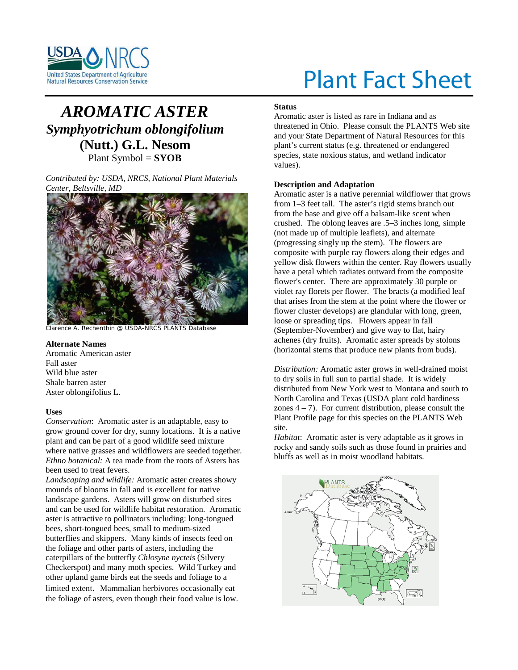

# Plant Fact Sheet

# *AROMATIC ASTER Symphyotrichum oblongifolium*  **(Nutt.) G.L. Nesom** Plant Symbol = **SYOB**

*Contributed by: USDA, NRCS, National Plant Materials Center, Beltsville, MD* 



Clarence A. Rechenthin @ USDA-NRCS PLANTS Database

# **Alternate Names**

Aromatic American aster Fall aster Wild blue aster Shale barren aster Aster oblongifolius L.

# **Uses**

*Conservation*: Aromatic aster is an adaptable, easy to grow ground cover for dry, sunny locations. It is a native plant and can be part of a good wildlife seed mixture where native grasses and wildflowers are seeded together. *Ethno botanical:* A tea made from the roots of Asters has been used to treat fevers.

*Landscaping and wildlife:* Aromatic aster creates showy mounds of blooms in fall and is excellent for native landscape gardens. Asters will grow on disturbed sites and can be used for wildlife habitat restoration. Aromatic aster is attractive to pollinators including: long-tongued bees, short-tongued bees, small to medium-sized butterflies and skippers. Many kinds of insects feed on the foliage and other parts of asters, including the caterpillars of the butterfly *Chlosyne nycteis* (Silvery Checkerspot) and many moth species. Wild Turkey and other upland game birds eat the seeds and foliage to a limited extent. Mammalian herbivores occasionally eat the foliage of asters, even though their food value is low.

#### **Status**

Aromatic aster is listed as rare in Indiana and as threatened in Ohio. Please consult the PLANTS Web site and your State Department of Natural Resources for this plant's current status (e.g. threatened or endangered species, state noxious status, and wetland indicator values).

# **Description and Adaptation**

Aromatic aster is a native perennial wildflower that grows from 1–3 feet tall. The aster's rigid stems branch out from the base and give off a balsam-like scent when crushed. The oblong leaves are .5–3 inches long, simple (not made up of multiple leaflets), and alternate (progressing singly up the stem). The flowers are composite with purple ray flowers along their edges and yellow disk flowers within the center. Ray flowers usually have a petal which radiates outward from the composite flower's center. There are approximately 30 purple or violet ray florets per flower. The bracts (a modified leaf that arises from the stem at the point where the flower or flower cluster develops) are glandular with long, green, loose or spreading tips. Flowers appear in fall (September-November) and give way to flat, hairy achenes (dry fruits). Aromatic aster spreads by stolons (horizontal stems that produce new plants from buds).

*Distribution:* Aromatic aster grows in well-drained moist to dry soils in full sun to partial shade. It is widely distributed from New York west to Montana and south to North Carolina and Texas (USDA plant cold hardiness zones  $4 - 7$ ). For current distribution, please consult the Plant Profile page for this species on the PLANTS Web site.

*Habitat*: Aromatic aster is very adaptable as it grows in rocky and sandy soils such as those found in prairies and bluffs as well as in moist woodland habitats.